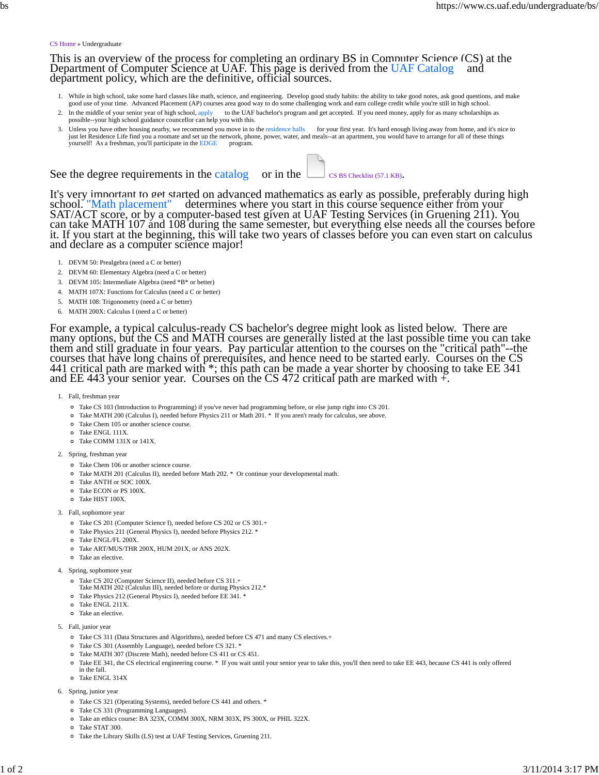## CS Home » Undergraduate

This is an overview of the process for completing an ordinary BS in Computer Science (CS) at the Department of Computer Science at UAF. This page is derived from the UAF Catalog and department policy, which are the definitive, official sources.

- 1. While in high school, take some hard classes like math, science, and engineering. Develop good study habits: the ability to take good notes, ask good questions, and make good use of your time. Advanced Placement (AP) co
- 2. In the middle of your senior year of high school, apply to the UAF bachelor's program and get accepted. If you need money, apply for as many scholarships as possible--your high school guidance councellor can help you with this.
- 3. Unless you have other housing nearby, we recommend you move in to the residence halls for your first year. It's hard enough living away from home, and it's nice to just let Residence Life find you a roomate and set up the network, phone, power, water, and meals--at an apartment, you would have to arrange for all of these things yourself! As a freshman, you'll participate in the EDGE program.

See the degree requirements in the catalog or in the  $\Box$  CS BS Checklist (57.1 KB).

It's very important to get started on advanced mathematics as early as possible, preferably during high school. "Math placement" determines where you start in this course sequence either from your SAT/ACT score, or by a co

- 1. DEVM 50: Prealgebra (need a C or better)
- 2. DEVM 60: Elementary Algebra (need a C or better)
- 3. DEVM 105: Intermediate Algebra (need \*B\* or better)
- 4. MATH 107X: Functions for Calculus (need a C or better)
- 5. MATH 108: Trigonometry (need a C or better)
- 6. MATH 200X: Calculus I (need a C or better)

For example, a typical calculus-ready CS bachelor's degree might look as listed below. There are<br>many options, but the CS and MATH courses are generally listed at the last possible time you can take<br>them and still graduate

1. Fall, freshman year

- Take CS 103 (Introduction to Programming) if you've never had programming before, or else jump right into CS 201.
- Take MATH 200 (Calculus I), needed before Physics 211 or Math 201. \* If you aren't ready for calculus, see above.
- Take Chem 105 or another science course.
- o Take ENGL 111X.
- Take COMM 131X or 141X.
- 2. Spring, freshman year
	- Take Chem 106 or another science course.
	- Take MATH 201 (Calculus II), needed before Math 202. \* Or continue your developmental math.
	- Take ANTH or SOC 100X.
	- Take ECON or PS 100X.
	- Take HIST 100X.
- 3. Fall, sophomore year
	- Take CS 201 (Computer Science I), needed before CS 202 or CS 301.+
	- Take Physics 211 (General Physics I), needed before Physics 212. \*
	- o Take ENGL/FL 200X.
	- Take ART/MUS/THR 200X, HUM 201X, or ANS 202X.
	- Take an elective.
- 4. Spring, sophomore year
	-
	- Take CS 202 (Computer Science II), needed before CS 311.+ Take MATH 202 (Calculus III), needed before or during Physics 212.\*
	- Take Physics 212 (General Physics I), needed before EE 341. \*
	- o Take ENGL 211X.
	- Take an elective.
- 5. Fall, junior year
	- Take CS 311 (Data Structures and Algorithms), needed before CS 471 and many CS electives.+
	- Take CS 301 (Assembly Language), needed before CS 321. \*
	- Take MATH 307 (Discrete Math), needed before CS 411 or CS 451.
	- Take EE 341, the CS electrical engineering course. \* If you wait until your senior year to take this, you'll then need to take EE 443, because CS 441 is only offered in the fall.
- Take ENGL 314X
- 6. Spring, junior year
	- Take CS 321 (Operating Systems), needed before CS 441 and others. \*
	- Take CS 331 (Programming Languages).
	- Take an ethics course: BA 323X, COMM 300X, NRM 303X, PS 300X, or PHIL 322X.
	- Take STAT 300.
	- Take the Library Skills (LS) test at UAF Testing Services, Gruening 211.